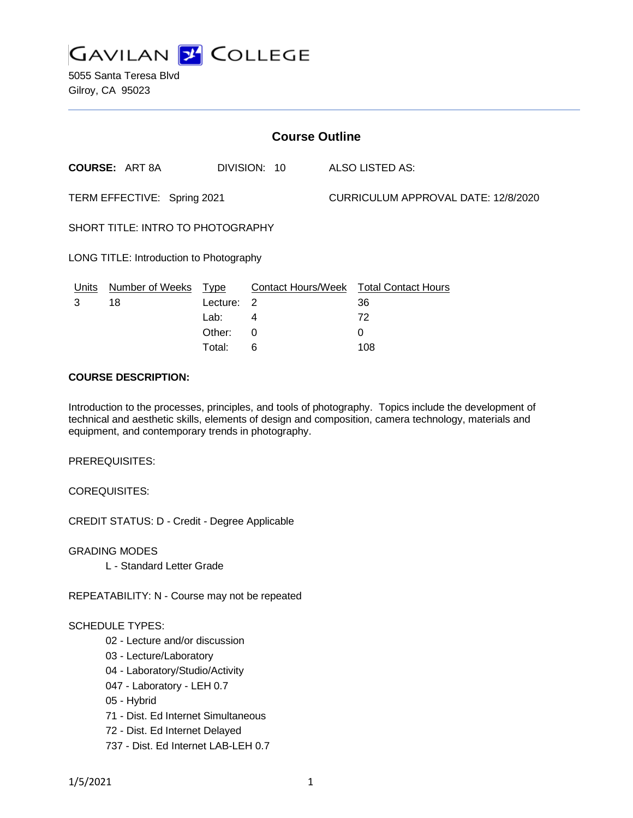

5055 Santa Teresa Blvd Gilroy, CA 95023

| <b>Course Outline</b>                   |                        |             |              |  |                                               |  |
|-----------------------------------------|------------------------|-------------|--------------|--|-----------------------------------------------|--|
|                                         | <b>COURSE: ART 8A</b>  |             | DIVISION: 10 |  | ALSO LISTED AS:                               |  |
| TERM EFFECTIVE: Spring 2021             |                        |             |              |  | CURRICULUM APPROVAL DATE: 12/8/2020           |  |
| SHORT TITLE: INTRO TO PHOTOGRAPHY       |                        |             |              |  |                                               |  |
| LONG TITLE: Introduction to Photography |                        |             |              |  |                                               |  |
| Units                                   | <b>Number of Weeks</b> | <u>Type</u> |              |  | <b>Contact Hours/Week Total Contact Hours</b> |  |
| 3                                       | 18                     | Lecture: 2  |              |  | 36                                            |  |
|                                         |                        | Lab:        | 4            |  | 72                                            |  |
|                                         |                        | Other:      | 0            |  | 0                                             |  |

#### **COURSE DESCRIPTION:**

Introduction to the processes, principles, and tools of photography. Topics include the development of technical and aesthetic skills, elements of design and composition, camera technology, materials and equipment, and contemporary trends in photography.

Total: 6 108

PREREQUISITES:

COREQUISITES:

CREDIT STATUS: D - Credit - Degree Applicable

GRADING MODES

L - Standard Letter Grade

REPEATABILITY: N - Course may not be repeated

#### SCHEDULE TYPES:

- 02 Lecture and/or discussion
- 03 Lecture/Laboratory
- 04 Laboratory/Studio/Activity
- 047 Laboratory LEH 0.7
- 05 Hybrid
- 71 Dist. Ed Internet Simultaneous
- 72 Dist. Ed Internet Delayed
- 737 Dist. Ed Internet LAB-LEH 0.7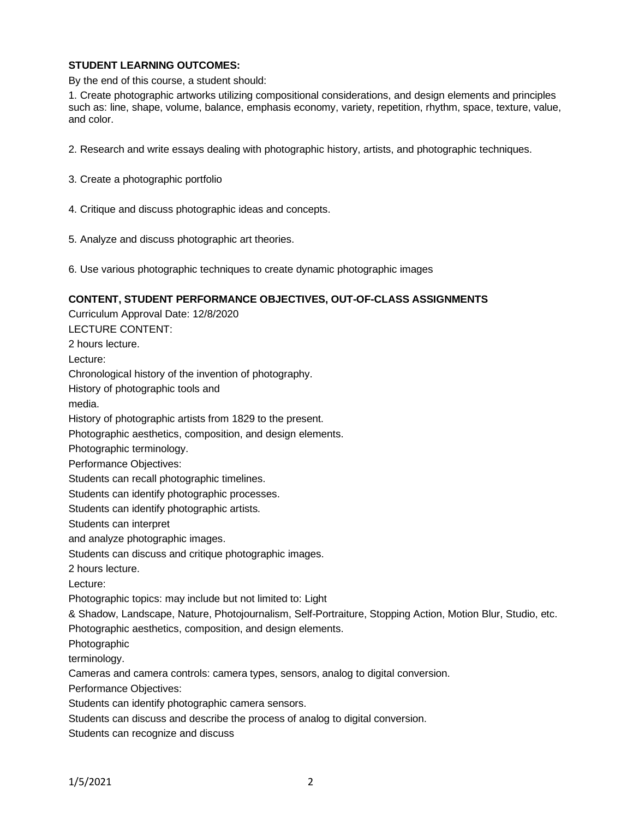# **STUDENT LEARNING OUTCOMES:**

By the end of this course, a student should:

1. Create photographic artworks utilizing compositional considerations, and design elements and principles such as: line, shape, volume, balance, emphasis economy, variety, repetition, rhythm, space, texture, value, and color.

- 2. Research and write essays dealing with photographic history, artists, and photographic techniques.
- 3. Create a photographic portfolio
- 4. Critique and discuss photographic ideas and concepts.
- 5. Analyze and discuss photographic art theories.
- 6. Use various photographic techniques to create dynamic photographic images

### **CONTENT, STUDENT PERFORMANCE OBJECTIVES, OUT-OF-CLASS ASSIGNMENTS**

Curriculum Approval Date: 12/8/2020 LECTURE CONTENT: 2 hours lecture. Lecture: Chronological history of the invention of photography. History of photographic tools and media. History of photographic artists from 1829 to the present. Photographic aesthetics, composition, and design elements. Photographic terminology. Performance Objectives: Students can recall photographic timelines. Students can identify photographic processes. Students can identify photographic artists. Students can interpret and analyze photographic images. Students can discuss and critique photographic images. 2 hours lecture. Lecture: Photographic topics: may include but not limited to: Light & Shadow, Landscape, Nature, Photojournalism, Self-Portraiture, Stopping Action, Motion Blur, Studio, etc. Photographic aesthetics, composition, and design elements. Photographic terminology. Cameras and camera controls: camera types, sensors, analog to digital conversion. Performance Objectives: Students can identify photographic camera sensors. Students can discuss and describe the process of analog to digital conversion. Students can recognize and discuss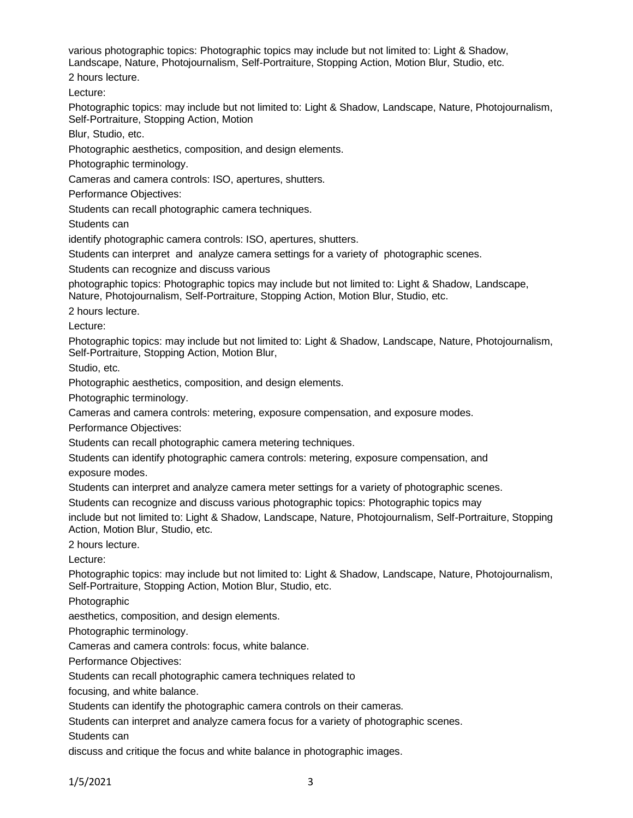various photographic topics: Photographic topics may include but not limited to: Light & Shadow, Landscape, Nature, Photojournalism, Self-Portraiture, Stopping Action, Motion Blur, Studio, etc.

2 hours lecture.

Lecture:

Photographic topics: may include but not limited to: Light & Shadow, Landscape, Nature, Photojournalism, Self-Portraiture, Stopping Action, Motion

Blur, Studio, etc.

Photographic aesthetics, composition, and design elements.

Photographic terminology.

Cameras and camera controls: ISO, apertures, shutters.

Performance Objectives:

Students can recall photographic camera techniques.

Students can

identify photographic camera controls: ISO, apertures, shutters.

Students can interpret and analyze camera settings for a variety of photographic scenes.

Students can recognize and discuss various

photographic topics: Photographic topics may include but not limited to: Light & Shadow, Landscape, Nature, Photojournalism, Self-Portraiture, Stopping Action, Motion Blur, Studio, etc.

2 hours lecture.

Lecture:

Photographic topics: may include but not limited to: Light & Shadow, Landscape, Nature, Photojournalism, Self-Portraiture, Stopping Action, Motion Blur,

Studio, etc.

Photographic aesthetics, composition, and design elements.

Photographic terminology.

Cameras and camera controls: metering, exposure compensation, and exposure modes.

Performance Objectives:

Students can recall photographic camera metering techniques.

Students can identify photographic camera controls: metering, exposure compensation, and

exposure modes.

Students can interpret and analyze camera meter settings for a variety of photographic scenes.

Students can recognize and discuss various photographic topics: Photographic topics may

include but not limited to: Light & Shadow, Landscape, Nature, Photojournalism, Self-Portraiture, Stopping Action, Motion Blur, Studio, etc.

2 hours lecture.

Lecture:

Photographic topics: may include but not limited to: Light & Shadow, Landscape, Nature, Photojournalism, Self-Portraiture, Stopping Action, Motion Blur, Studio, etc.

Photographic

aesthetics, composition, and design elements.

Photographic terminology.

Cameras and camera controls: focus, white balance.

Performance Objectives:

Students can recall photographic camera techniques related to

focusing, and white balance.

Students can identify the photographic camera controls on their cameras.

Students can interpret and analyze camera focus for a variety of photographic scenes.

Students can

discuss and critique the focus and white balance in photographic images.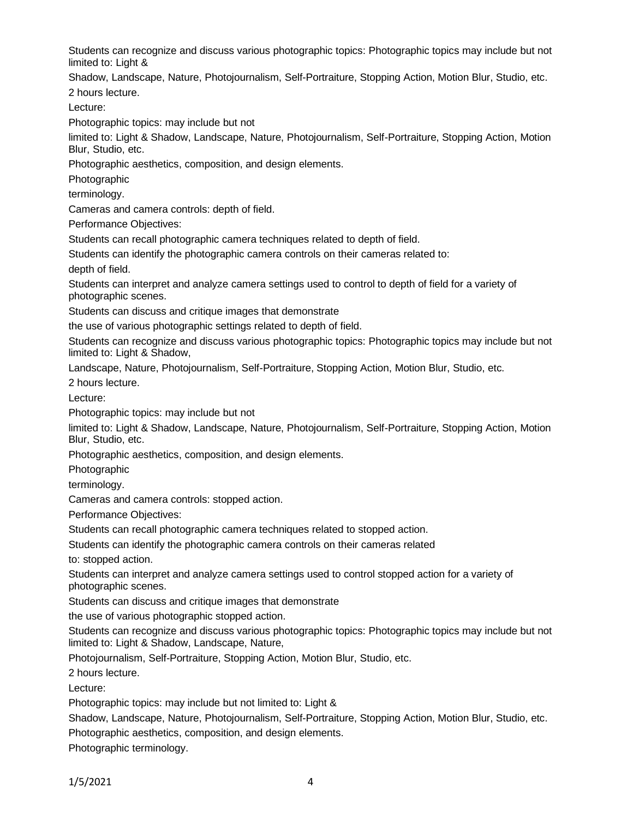Students can recognize and discuss various photographic topics: Photographic topics may include but not limited to: Light &

Shadow, Landscape, Nature, Photojournalism, Self-Portraiture, Stopping Action, Motion Blur, Studio, etc. 2 hours lecture.

Lecture:

Photographic topics: may include but not

limited to: Light & Shadow, Landscape, Nature, Photojournalism, Self-Portraiture, Stopping Action, Motion Blur, Studio, etc.

Photographic aesthetics, composition, and design elements.

Photographic

terminology.

Cameras and camera controls: depth of field.

Performance Objectives:

Students can recall photographic camera techniques related to depth of field.

Students can identify the photographic camera controls on their cameras related to:

depth of field.

Students can interpret and analyze camera settings used to control to depth of field for a variety of photographic scenes.

Students can discuss and critique images that demonstrate

the use of various photographic settings related to depth of field.

Students can recognize and discuss various photographic topics: Photographic topics may include but not limited to: Light & Shadow,

Landscape, Nature, Photojournalism, Self-Portraiture, Stopping Action, Motion Blur, Studio, etc.

2 hours lecture.

Lecture:

Photographic topics: may include but not

limited to: Light & Shadow, Landscape, Nature, Photojournalism, Self-Portraiture, Stopping Action, Motion Blur, Studio, etc.

Photographic aesthetics, composition, and design elements.

Photographic

terminology.

Cameras and camera controls: stopped action.

Performance Objectives:

Students can recall photographic camera techniques related to stopped action.

Students can identify the photographic camera controls on their cameras related

to: stopped action.

Students can interpret and analyze camera settings used to control stopped action for a variety of photographic scenes.

Students can discuss and critique images that demonstrate

the use of various photographic stopped action.

Students can recognize and discuss various photographic topics: Photographic topics may include but not limited to: Light & Shadow, Landscape, Nature,

Photojournalism, Self-Portraiture, Stopping Action, Motion Blur, Studio, etc.

2 hours lecture.

Lecture:

Photographic topics: may include but not limited to: Light &

Shadow, Landscape, Nature, Photojournalism, Self-Portraiture, Stopping Action, Motion Blur, Studio, etc.

Photographic aesthetics, composition, and design elements.

Photographic terminology.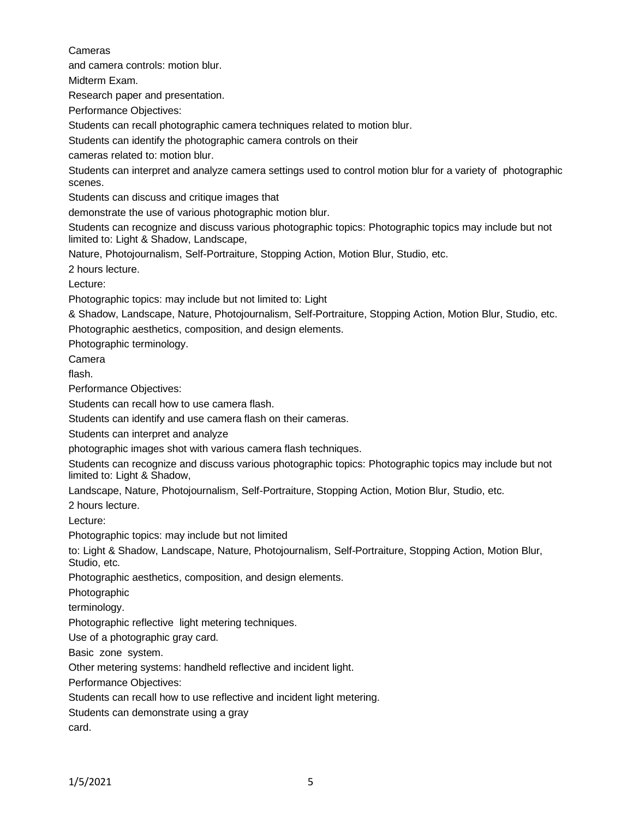Cameras

and camera controls: motion blur.

Midterm Exam.

Research paper and presentation.

Performance Objectives:

Students can recall photographic camera techniques related to motion blur.

Students can identify the photographic camera controls on their

cameras related to: motion blur.

Students can interpret and analyze camera settings used to control motion blur for a variety of photographic scenes.

Students can discuss and critique images that

demonstrate the use of various photographic motion blur.

Students can recognize and discuss various photographic topics: Photographic topics may include but not limited to: Light & Shadow, Landscape,

Nature, Photojournalism, Self-Portraiture, Stopping Action, Motion Blur, Studio, etc.

2 hours lecture.

Lecture:

Photographic topics: may include but not limited to: Light

& Shadow, Landscape, Nature, Photojournalism, Self-Portraiture, Stopping Action, Motion Blur, Studio, etc. Photographic aesthetics, composition, and design elements.

Photographic terminology.

Camera

flash.

Performance Objectives:

Students can recall how to use camera flash.

Students can identify and use camera flash on their cameras.

Students can interpret and analyze

photographic images shot with various camera flash techniques.

Students can recognize and discuss various photographic topics: Photographic topics may include but not limited to: Light & Shadow,

Landscape, Nature, Photojournalism, Self-Portraiture, Stopping Action, Motion Blur, Studio, etc.

2 hours lecture.

Lecture:

Photographic topics: may include but not limited

to: Light & Shadow, Landscape, Nature, Photojournalism, Self-Portraiture, Stopping Action, Motion Blur, Studio, etc.

Photographic aesthetics, composition, and design elements.

Photographic

terminology.

Photographic reflective light metering techniques.

Use of a photographic gray card.

Basic zone system.

Other metering systems: handheld reflective and incident light.

Performance Objectives:

Students can recall how to use reflective and incident light metering.

Students can demonstrate using a gray

card.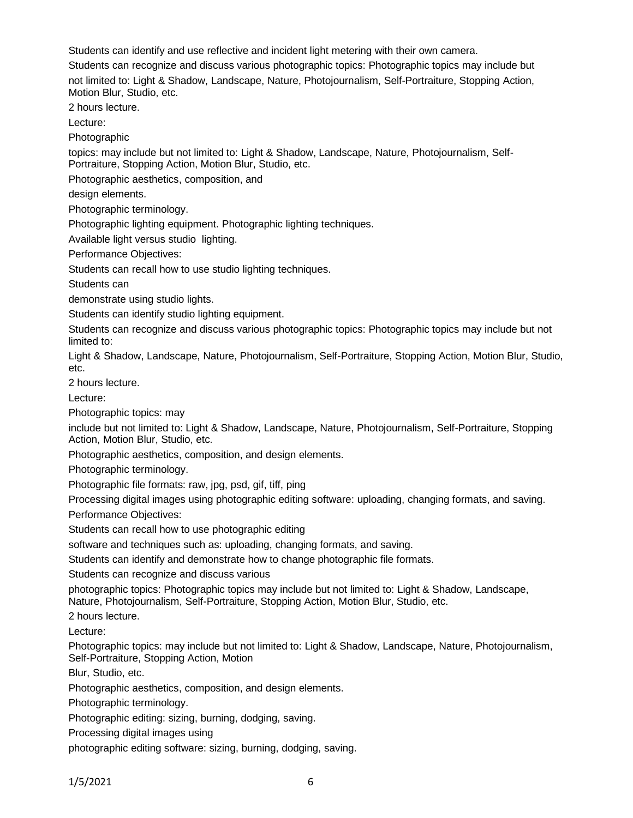Students can identify and use reflective and incident light metering with their own camera.

Students can recognize and discuss various photographic topics: Photographic topics may include but

not limited to: Light & Shadow, Landscape, Nature, Photojournalism, Self-Portraiture, Stopping Action, Motion Blur, Studio, etc.

2 hours lecture.

Lecture:

Photographic

topics: may include but not limited to: Light & Shadow, Landscape, Nature, Photojournalism, Self-Portraiture, Stopping Action, Motion Blur, Studio, etc.

Photographic aesthetics, composition, and

design elements.

Photographic terminology.

Photographic lighting equipment. Photographic lighting techniques.

Available light versus studio lighting.

Performance Objectives:

Students can recall how to use studio lighting techniques.

Students can

demonstrate using studio lights.

Students can identify studio lighting equipment.

Students can recognize and discuss various photographic topics: Photographic topics may include but not limited to:

Light & Shadow, Landscape, Nature, Photojournalism, Self-Portraiture, Stopping Action, Motion Blur, Studio, etc.

2 hours lecture.

Lecture:

Photographic topics: may

include but not limited to: Light & Shadow, Landscape, Nature, Photojournalism, Self-Portraiture, Stopping Action, Motion Blur, Studio, etc.

Photographic aesthetics, composition, and design elements.

Photographic terminology.

Photographic file formats: raw, jpg, psd, gif, tiff, ping

Processing digital images using photographic editing software: uploading, changing formats, and saving.

Performance Objectives:

Students can recall how to use photographic editing

software and techniques such as: uploading, changing formats, and saving.

Students can identify and demonstrate how to change photographic file formats.

Students can recognize and discuss various

photographic topics: Photographic topics may include but not limited to: Light & Shadow, Landscape, Nature, Photojournalism, Self-Portraiture, Stopping Action, Motion Blur, Studio, etc.

2 hours lecture.

Lecture:

Photographic topics: may include but not limited to: Light & Shadow, Landscape, Nature, Photojournalism, Self-Portraiture, Stopping Action, Motion

Blur, Studio, etc.

Photographic aesthetics, composition, and design elements.

Photographic terminology.

Photographic editing: sizing, burning, dodging, saving.

Processing digital images using

photographic editing software: sizing, burning, dodging, saving.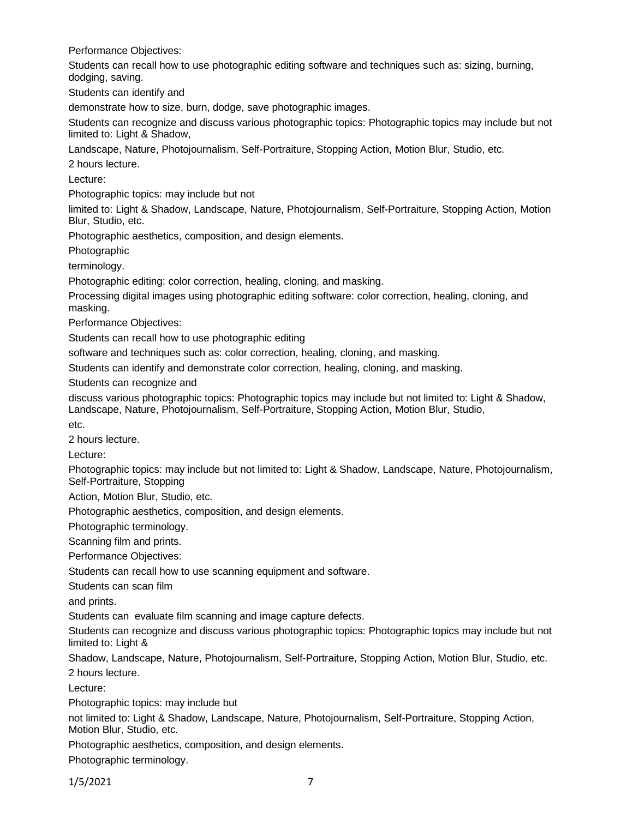Performance Objectives:

Students can recall how to use photographic editing software and techniques such as: sizing, burning, dodging, saving.

Students can identify and

demonstrate how to size, burn, dodge, save photographic images.

Students can recognize and discuss various photographic topics: Photographic topics may include but not limited to: Light & Shadow,

Landscape, Nature, Photojournalism, Self-Portraiture, Stopping Action, Motion Blur, Studio, etc.

2 hours lecture.

Lecture:

Photographic topics: may include but not

limited to: Light & Shadow, Landscape, Nature, Photojournalism, Self-Portraiture, Stopping Action, Motion Blur, Studio, etc.

Photographic aesthetics, composition, and design elements.

Photographic

terminology.

Photographic editing: color correction, healing, cloning, and masking.

Processing digital images using photographic editing software: color correction, healing, cloning, and masking.

Performance Objectives:

Students can recall how to use photographic editing

software and techniques such as: color correction, healing, cloning, and masking.

Students can identify and demonstrate color correction, healing, cloning, and masking.

Students can recognize and

discuss various photographic topics: Photographic topics may include but not limited to: Light & Shadow, Landscape, Nature, Photojournalism, Self-Portraiture, Stopping Action, Motion Blur, Studio,

etc.

2 hours lecture.

Lecture:

Photographic topics: may include but not limited to: Light & Shadow, Landscape, Nature, Photojournalism, Self-Portraiture, Stopping

Action, Motion Blur, Studio, etc.

Photographic aesthetics, composition, and design elements.

Photographic terminology.

Scanning film and prints.

Performance Objectives:

Students can recall how to use scanning equipment and software.

Students can scan film

and prints.

Students can evaluate film scanning and image capture defects.

Students can recognize and discuss various photographic topics: Photographic topics may include but not limited to: Light &

Shadow, Landscape, Nature, Photojournalism, Self-Portraiture, Stopping Action, Motion Blur, Studio, etc.

2 hours lecture.

Lecture:

Photographic topics: may include but

not limited to: Light & Shadow, Landscape, Nature, Photojournalism, Self-Portraiture, Stopping Action, Motion Blur, Studio, etc.

Photographic aesthetics, composition, and design elements.

Photographic terminology.

1/5/2021 7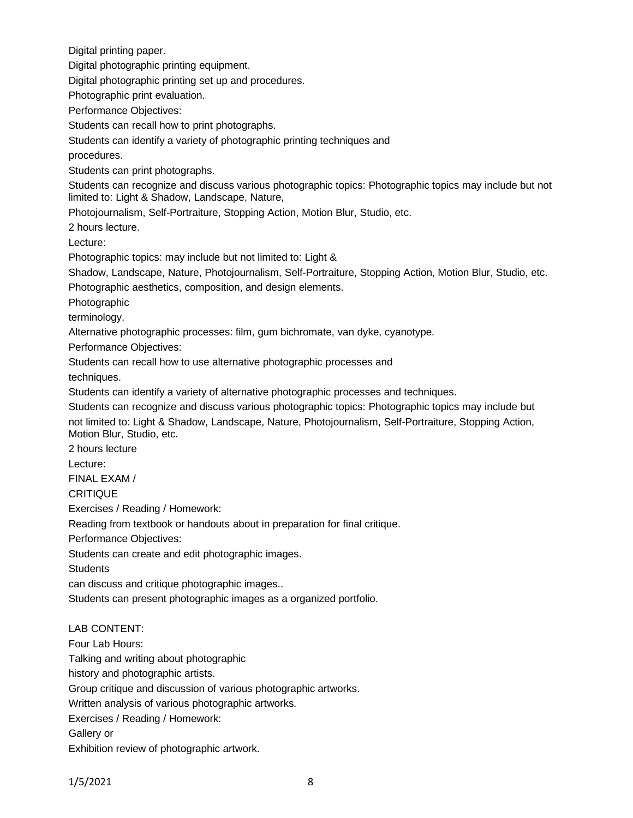Digital printing paper.

Digital photographic printing equipment.

Digital photographic printing set up and procedures.

Photographic print evaluation.

Performance Objectives:

Students can recall how to print photographs.

Students can identify a variety of photographic printing techniques and

procedures.

Students can print photographs.

Students can recognize and discuss various photographic topics: Photographic topics may include but not limited to: Light & Shadow, Landscape, Nature,

Photojournalism, Self-Portraiture, Stopping Action, Motion Blur, Studio, etc.

2 hours lecture.

Lecture:

Photographic topics: may include but not limited to: Light &

Shadow, Landscape, Nature, Photojournalism, Self-Portraiture, Stopping Action, Motion Blur, Studio, etc.

Photographic aesthetics, composition, and design elements.

Photographic

terminology.

Alternative photographic processes: film, gum bichromate, van dyke, cyanotype.

Performance Objectives:

Students can recall how to use alternative photographic processes and

techniques.

Students can identify a variety of alternative photographic processes and techniques.

Students can recognize and discuss various photographic topics: Photographic topics may include but not limited to: Light & Shadow, Landscape, Nature, Photojournalism, Self-Portraiture, Stopping Action, Motion Blur, Studio, etc.

2 hours lecture

Lecture:

FINAL EXAM /

**CRITIQUE** 

Exercises / Reading / Homework:

Reading from textbook or handouts about in preparation for final critique.

Performance Objectives:

Students can create and edit photographic images.

**Students** 

can discuss and critique photographic images..

Students can present photographic images as a organized portfolio.

# LAB CONTENT:

Four Lab Hours: Talking and writing about photographic history and photographic artists. Group critique and discussion of various photographic artworks. Written analysis of various photographic artworks. Exercises / Reading / Homework: Gallery or

Exhibition review of photographic artwork.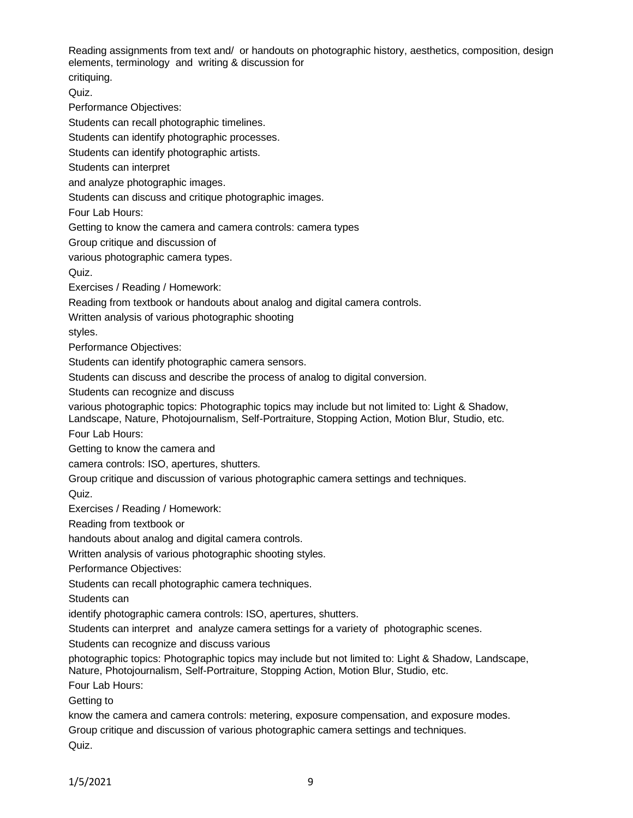Reading assignments from text and/ or handouts on photographic history, aesthetics, composition, design elements, terminology and writing & discussion for

critiquing.

Quiz.

Performance Objectives:

Students can recall photographic timelines.

Students can identify photographic processes.

Students can identify photographic artists.

Students can interpret

and analyze photographic images.

Students can discuss and critique photographic images.

Four Lab Hours:

Getting to know the camera and camera controls: camera types

Group critique and discussion of

various photographic camera types.

Quiz.

Exercises / Reading / Homework:

Reading from textbook or handouts about analog and digital camera controls.

Written analysis of various photographic shooting

styles.

Performance Objectives:

Students can identify photographic camera sensors.

Students can discuss and describe the process of analog to digital conversion.

Students can recognize and discuss

various photographic topics: Photographic topics may include but not limited to: Light & Shadow, Landscape, Nature, Photojournalism, Self-Portraiture, Stopping Action, Motion Blur, Studio, etc.

Four Lab Hours:

Getting to know the camera and

camera controls: ISO, apertures, shutters.

Group critique and discussion of various photographic camera settings and techniques.

Quiz.

Exercises / Reading / Homework:

Reading from textbook or

handouts about analog and digital camera controls.

Written analysis of various photographic shooting styles.

Performance Objectives:

Students can recall photographic camera techniques.

Students can

identify photographic camera controls: ISO, apertures, shutters.

Students can interpret and analyze camera settings for a variety of photographic scenes.

Students can recognize and discuss various

photographic topics: Photographic topics may include but not limited to: Light & Shadow, Landscape, Nature, Photojournalism, Self-Portraiture, Stopping Action, Motion Blur, Studio, etc.

Four Lab Hours:

Getting to

know the camera and camera controls: metering, exposure compensation, and exposure modes.

Group critique and discussion of various photographic camera settings and techniques.

Quiz.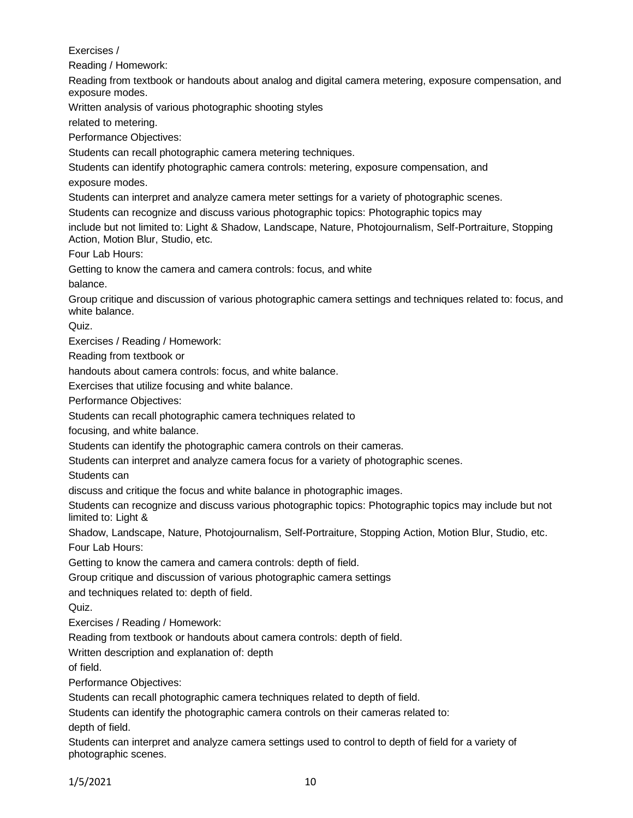Exercises /

Reading / Homework:

Reading from textbook or handouts about analog and digital camera metering, exposure compensation, and exposure modes.

Written analysis of various photographic shooting styles

related to metering.

Performance Objectives:

Students can recall photographic camera metering techniques.

Students can identify photographic camera controls: metering, exposure compensation, and

exposure modes.

Students can interpret and analyze camera meter settings for a variety of photographic scenes.

Students can recognize and discuss various photographic topics: Photographic topics may

include but not limited to: Light & Shadow, Landscape, Nature, Photojournalism, Self-Portraiture, Stopping Action, Motion Blur, Studio, etc.

Four Lab Hours:

Getting to know the camera and camera controls: focus, and white

balance.

Group critique and discussion of various photographic camera settings and techniques related to: focus, and white balance.

Quiz.

Exercises / Reading / Homework:

Reading from textbook or

handouts about camera controls: focus, and white balance.

Exercises that utilize focusing and white balance.

Performance Objectives:

Students can recall photographic camera techniques related to

focusing, and white balance.

Students can identify the photographic camera controls on their cameras.

Students can interpret and analyze camera focus for a variety of photographic scenes.

Students can

discuss and critique the focus and white balance in photographic images.

Students can recognize and discuss various photographic topics: Photographic topics may include but not limited to: Light &

Shadow, Landscape, Nature, Photojournalism, Self-Portraiture, Stopping Action, Motion Blur, Studio, etc. Four Lab Hours:

Getting to know the camera and camera controls: depth of field.

Group critique and discussion of various photographic camera settings

and techniques related to: depth of field.

Quiz.

Exercises / Reading / Homework:

Reading from textbook or handouts about camera controls: depth of field.

Written description and explanation of: depth

of field.

Performance Objectives:

Students can recall photographic camera techniques related to depth of field.

Students can identify the photographic camera controls on their cameras related to:

depth of field.

Students can interpret and analyze camera settings used to control to depth of field for a variety of photographic scenes.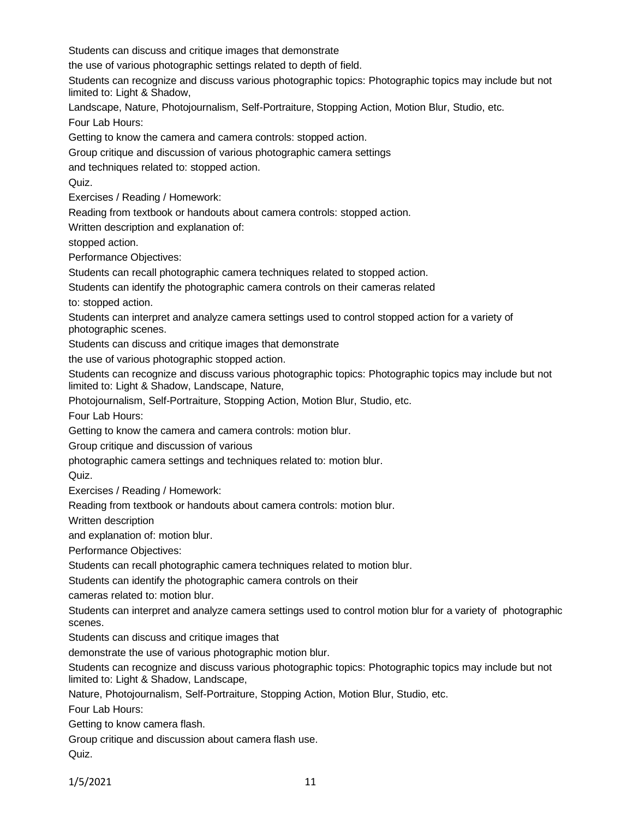Students can discuss and critique images that demonstrate

the use of various photographic settings related to depth of field.

Students can recognize and discuss various photographic topics: Photographic topics may include but not limited to: Light & Shadow,

Landscape, Nature, Photojournalism, Self-Portraiture, Stopping Action, Motion Blur, Studio, etc.

Four Lab Hours:

Getting to know the camera and camera controls: stopped action.

Group critique and discussion of various photographic camera settings

and techniques related to: stopped action.

Quiz.

Exercises / Reading / Homework:

Reading from textbook or handouts about camera controls: stopped action.

Written description and explanation of:

stopped action.

Performance Objectives:

Students can recall photographic camera techniques related to stopped action.

Students can identify the photographic camera controls on their cameras related

to: stopped action.

Students can interpret and analyze camera settings used to control stopped action for a variety of photographic scenes.

Students can discuss and critique images that demonstrate

the use of various photographic stopped action.

Students can recognize and discuss various photographic topics: Photographic topics may include but not limited to: Light & Shadow, Landscape, Nature,

Photojournalism, Self-Portraiture, Stopping Action, Motion Blur, Studio, etc.

Four Lab Hours:

Getting to know the camera and camera controls: motion blur.

Group critique and discussion of various

photographic camera settings and techniques related to: motion blur.

Quiz.

Exercises / Reading / Homework:

Reading from textbook or handouts about camera controls: motion blur.

Written description

and explanation of: motion blur.

Performance Objectives:

Students can recall photographic camera techniques related to motion blur.

Students can identify the photographic camera controls on their

cameras related to: motion blur.

Students can interpret and analyze camera settings used to control motion blur for a variety of photographic scenes.

Students can discuss and critique images that

demonstrate the use of various photographic motion blur.

Students can recognize and discuss various photographic topics: Photographic topics may include but not limited to: Light & Shadow, Landscape,

Nature, Photojournalism, Self-Portraiture, Stopping Action, Motion Blur, Studio, etc.

Four Lab Hours:

Getting to know camera flash.

Group critique and discussion about camera flash use. Quiz.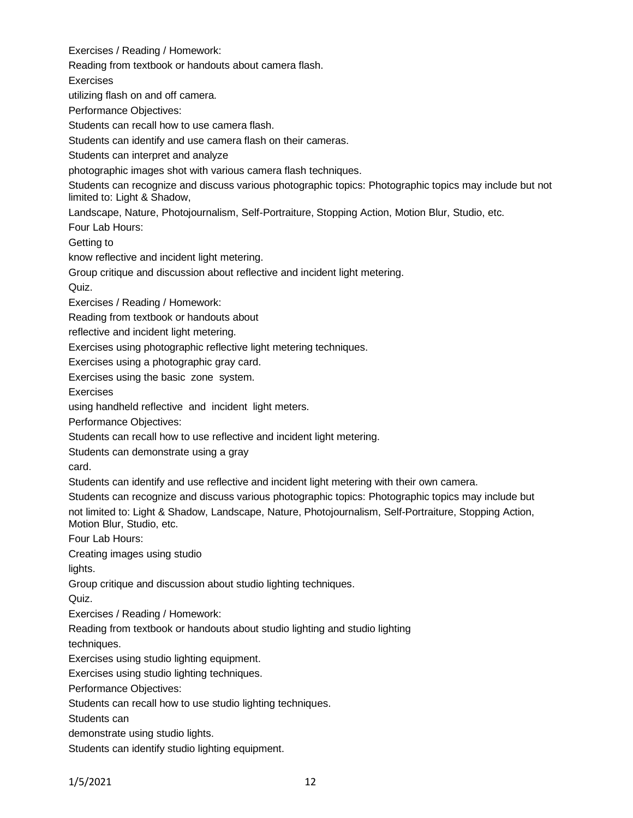Exercises / Reading / Homework:

Reading from textbook or handouts about camera flash.

Exercises

utilizing flash on and off camera.

Performance Objectives:

Students can recall how to use camera flash.

Students can identify and use camera flash on their cameras.

Students can interpret and analyze

photographic images shot with various camera flash techniques.

Students can recognize and discuss various photographic topics: Photographic topics may include but not limited to: Light & Shadow,

Landscape, Nature, Photojournalism, Self-Portraiture, Stopping Action, Motion Blur, Studio, etc.

Four Lab Hours:

Getting to

know reflective and incident light metering.

Group critique and discussion about reflective and incident light metering.

Quiz.

Exercises / Reading / Homework:

Reading from textbook or handouts about

reflective and incident light metering.

Exercises using photographic reflective light metering techniques.

Exercises using a photographic gray card.

Exercises using the basic zone system.

**Exercises** 

using handheld reflective and incident light meters.

Performance Objectives:

Students can recall how to use reflective and incident light metering.

Students can demonstrate using a gray

card.

Students can identify and use reflective and incident light metering with their own camera.

Students can recognize and discuss various photographic topics: Photographic topics may include but not limited to: Light & Shadow, Landscape, Nature, Photojournalism, Self-Portraiture, Stopping Action, Motion Blur, Studio, etc.

Four Lab Hours:

Creating images using studio

lights.

Group critique and discussion about studio lighting techniques.

Quiz.

Exercises / Reading / Homework:

Reading from textbook or handouts about studio lighting and studio lighting

techniques.

Exercises using studio lighting equipment.

Exercises using studio lighting techniques.

Performance Objectives:

Students can recall how to use studio lighting techniques.

Students can

demonstrate using studio lights.

Students can identify studio lighting equipment.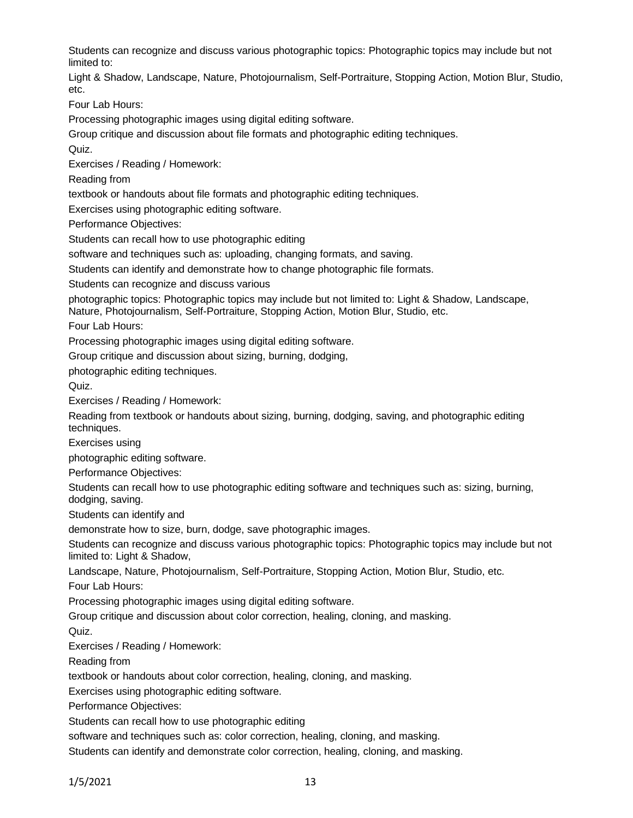Students can recognize and discuss various photographic topics: Photographic topics may include but not limited to:

Light & Shadow, Landscape, Nature, Photojournalism, Self-Portraiture, Stopping Action, Motion Blur, Studio, etc.

Four Lab Hours:

Processing photographic images using digital editing software.

Group critique and discussion about file formats and photographic editing techniques.

Quiz.

Exercises / Reading / Homework:

Reading from

textbook or handouts about file formats and photographic editing techniques.

Exercises using photographic editing software.

Performance Objectives:

Students can recall how to use photographic editing

software and techniques such as: uploading, changing formats, and saving.

Students can identify and demonstrate how to change photographic file formats.

Students can recognize and discuss various

photographic topics: Photographic topics may include but not limited to: Light & Shadow, Landscape, Nature, Photojournalism, Self-Portraiture, Stopping Action, Motion Blur, Studio, etc.

Four Lab Hours:

Processing photographic images using digital editing software.

Group critique and discussion about sizing, burning, dodging,

photographic editing techniques.

Quiz.

Exercises / Reading / Homework:

Reading from textbook or handouts about sizing, burning, dodging, saving, and photographic editing techniques.

Exercises using

photographic editing software.

Performance Objectives:

Students can recall how to use photographic editing software and techniques such as: sizing, burning, dodging, saving.

Students can identify and

demonstrate how to size, burn, dodge, save photographic images.

Students can recognize and discuss various photographic topics: Photographic topics may include but not limited to: Light & Shadow,

Landscape, Nature, Photojournalism, Self-Portraiture, Stopping Action, Motion Blur, Studio, etc.

Four Lab Hours:

Processing photographic images using digital editing software.

Group critique and discussion about color correction, healing, cloning, and masking.

Quiz.

Exercises / Reading / Homework:

Reading from

textbook or handouts about color correction, healing, cloning, and masking.

Exercises using photographic editing software.

Performance Objectives:

Students can recall how to use photographic editing

software and techniques such as: color correction, healing, cloning, and masking.

Students can identify and demonstrate color correction, healing, cloning, and masking.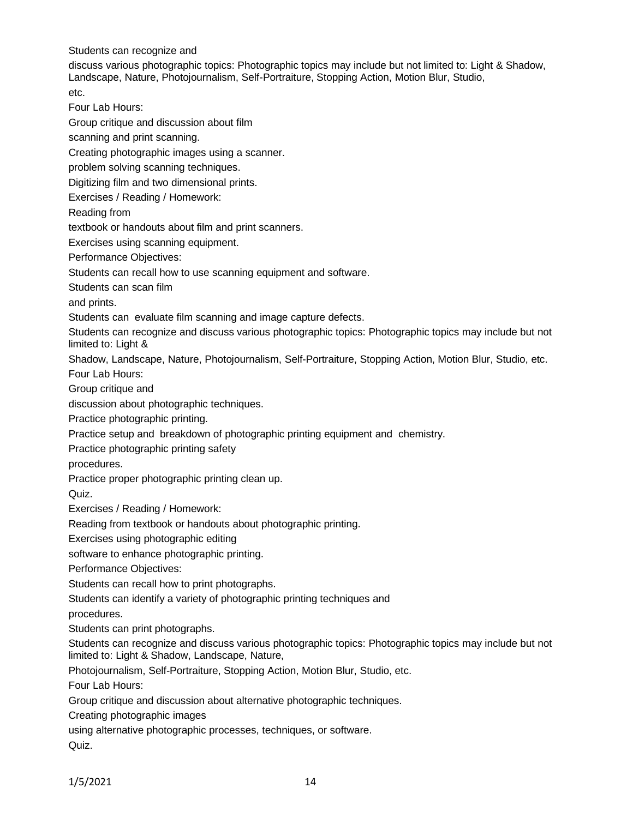Students can recognize and

discuss various photographic topics: Photographic topics may include but not limited to: Light & Shadow, Landscape, Nature, Photojournalism, Self-Portraiture, Stopping Action, Motion Blur, Studio, etc.

Four Lab Hours:

Group critique and discussion about film

scanning and print scanning.

Creating photographic images using a scanner.

problem solving scanning techniques.

Digitizing film and two dimensional prints.

Exercises / Reading / Homework:

Reading from

textbook or handouts about film and print scanners.

Exercises using scanning equipment.

Performance Objectives:

Students can recall how to use scanning equipment and software.

Students can scan film

and prints.

Students can evaluate film scanning and image capture defects.

Students can recognize and discuss various photographic topics: Photographic topics may include but not limited to: Light &

Shadow, Landscape, Nature, Photojournalism, Self-Portraiture, Stopping Action, Motion Blur, Studio, etc.

Four Lab Hours:

Group critique and

discussion about photographic techniques.

Practice photographic printing.

Practice setup and breakdown of photographic printing equipment and chemistry.

Practice photographic printing safety

procedures.

Practice proper photographic printing clean up.

Quiz.

Exercises / Reading / Homework:

Reading from textbook or handouts about photographic printing.

Exercises using photographic editing

software to enhance photographic printing.

Performance Objectives:

Students can recall how to print photographs.

Students can identify a variety of photographic printing techniques and

procedures.

Students can print photographs.

Students can recognize and discuss various photographic topics: Photographic topics may include but not limited to: Light & Shadow, Landscape, Nature,

Photojournalism, Self-Portraiture, Stopping Action, Motion Blur, Studio, etc.

Four Lab Hours:

Group critique and discussion about alternative photographic techniques.

Creating photographic images

using alternative photographic processes, techniques, or software.

Quiz.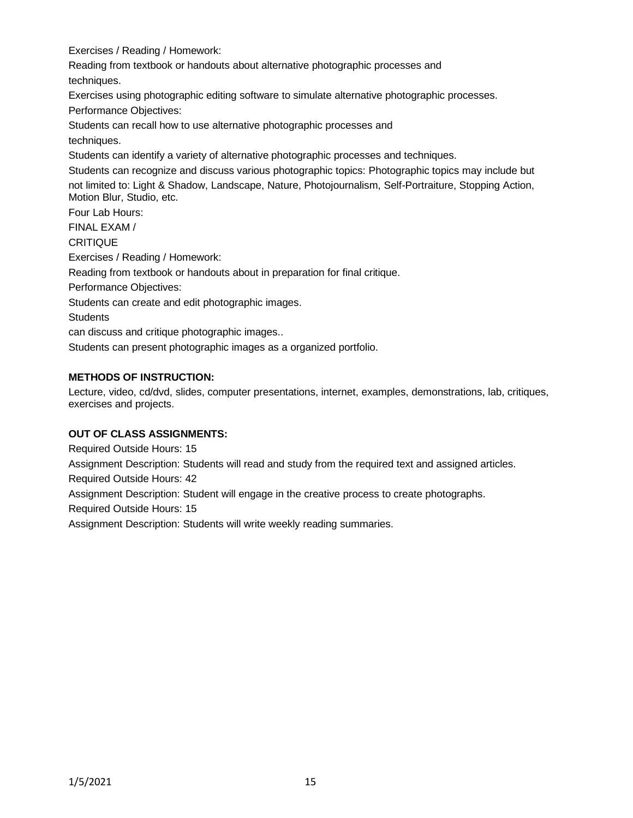Exercises / Reading / Homework:

Reading from textbook or handouts about alternative photographic processes and techniques.

Exercises using photographic editing software to simulate alternative photographic processes.

Performance Objectives:

Students can recall how to use alternative photographic processes and techniques.

Students can identify a variety of alternative photographic processes and techniques.

Students can recognize and discuss various photographic topics: Photographic topics may include but not limited to: Light & Shadow, Landscape, Nature, Photojournalism, Self-Portraiture, Stopping Action, Motion Blur, Studio, etc.

Four Lab Hours: FINAL EXAM / **CRITIQUE** Exercises / Reading / Homework: Reading from textbook or handouts about in preparation for final critique. Performance Objectives: Students can create and edit photographic images. **Students** can discuss and critique photographic images.. Students can present photographic images as a organized portfolio.

# **METHODS OF INSTRUCTION:**

Lecture, video, cd/dvd, slides, computer presentations, internet, examples, demonstrations, lab, critiques, exercises and projects.

## **OUT OF CLASS ASSIGNMENTS:**

Required Outside Hours: 15 Assignment Description: Students will read and study from the required text and assigned articles. Required Outside Hours: 42 Assignment Description: Student will engage in the creative process to create photographs. Required Outside Hours: 15 Assignment Description: Students will write weekly reading summaries.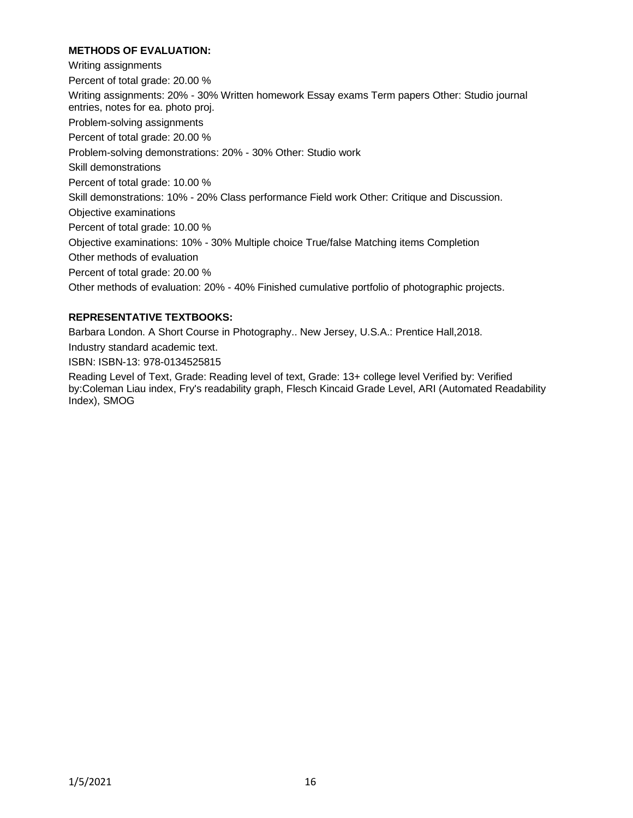# **METHODS OF EVALUATION:**

Writing assignments Percent of total grade: 20.00 % Writing assignments: 20% - 30% Written homework Essay exams Term papers Other: Studio journal entries, notes for ea. photo proj. Problem-solving assignments Percent of total grade: 20.00 % Problem-solving demonstrations: 20% - 30% Other: Studio work Skill demonstrations Percent of total grade: 10.00 % Skill demonstrations: 10% - 20% Class performance Field work Other: Critique and Discussion. Objective examinations Percent of total grade: 10.00 % Objective examinations: 10% - 30% Multiple choice True/false Matching items Completion Other methods of evaluation Percent of total grade: 20.00 % Other methods of evaluation: 20% - 40% Finished cumulative portfolio of photographic projects.

# **REPRESENTATIVE TEXTBOOKS:**

Barbara London. A Short Course in Photography.. New Jersey, U.S.A.: Prentice Hall,2018.

Industry standard academic text.

ISBN: ISBN-13: 978-0134525815

Reading Level of Text, Grade: Reading level of text, Grade: 13+ college level Verified by: Verified by:Coleman Liau index, Fry's readability graph, Flesch Kincaid Grade Level, ARI (Automated Readability Index), SMOG